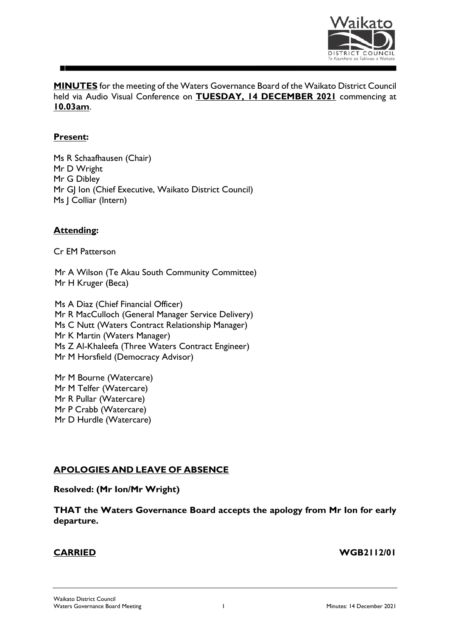

**MINUTES** for the meeting of the Waters Governance Board of the Waikato District Council held via Audio Visual Conference on **TUESDAY, 14 DECEMBER 2021** commencing at **10.03am**.

## **Present:**

Ms R Schaafhausen (Chair) Mr D Wright Mr G Dibley Mr GJ Ion (Chief Executive, Waikato District Council) Ms | Colliar (Intern)

# **Attending:**

Cr EM Patterson

Mr A Wilson (Te Akau South Community Committee) Mr H Kruger (Beca)

Ms A Diaz (Chief Financial Officer) Mr R MacCulloch (General Manager Service Delivery) Ms C Nutt (Waters Contract Relationship Manager) Mr K Martin (Waters Manager) Ms Z Al-Khaleefa (Three Waters Contract Engineer) Mr M Horsfield (Democracy Advisor)

Mr M Bourne (Watercare) Mr M Telfer (Watercare) Mr R Pullar (Watercare) Mr P Crabb (Watercare) Mr D Hurdle (Watercare)

# **APOLOGIES AND LEAVE OF ABSENCE**

### **Resolved: (Mr Ion/Mr Wright)**

**THAT the Waters Governance Board accepts the apology from Mr Ion for early departure.**

**CARRIED WGB2112/01**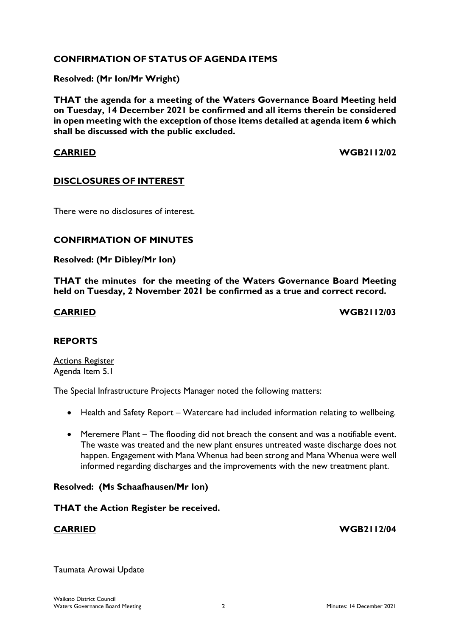## **CONFIRMATION OF STATUS OF AGENDA ITEMS**

**Resolved: (Mr Ion/Mr Wright)**

**THAT the agenda for a meeting of the Waters Governance Board Meeting held on Tuesday, 14 December 2021 be confirmed and all items therein be considered in open meeting with the exception of those items detailed at agenda item 6 which shall be discussed with the public excluded.**

**CARRIED WGB2112/02**

## **DISCLOSURES OF INTEREST**

There were no disclosures of interest.

### **CONFIRMATION OF MINUTES**

**Resolved: (Mr Dibley/Mr Ion)**

**THAT the minutes for the meeting of the Waters Governance Board Meeting held on Tuesday, 2 November 2021 be confirmed as a true and correct record.**

**CARRIED WGB2112/03**

### **REPORTS**

Actions Register Agenda Item 5.1

The Special Infrastructure Projects Manager noted the following matters:

- Health and Safety Report Watercare had included information relating to wellbeing.
- Meremere Plant The flooding did not breach the consent and was a notifiable event. The waste was treated and the new plant ensures untreated waste discharge does not happen. Engagement with Mana Whenua had been strong and Mana Whenua were well informed regarding discharges and the improvements with the new treatment plant.

### **Resolved: (Ms Schaafhausen/Mr Ion)**

### **THAT the Action Register be received.**

**CARRIED WGB2112/04**

### Taumata Arowai Update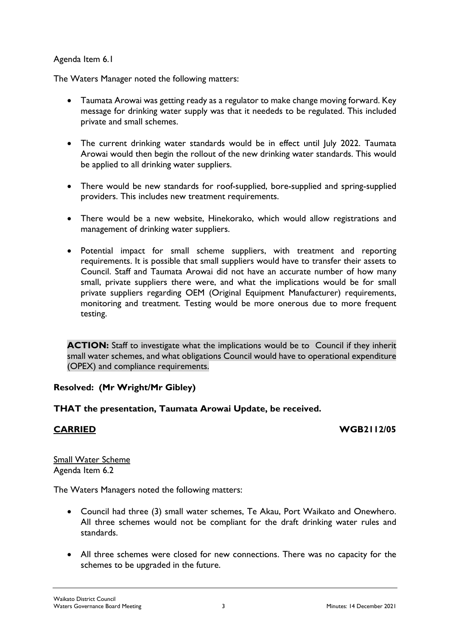## Agenda Item 6.1

The Waters Manager noted the following matters:

- Taumata Arowai was getting ready as a regulator to make change moving forward. Key message for drinking water supply was that it neededs to be regulated. This included private and small schemes.
- The current drinking water standards would be in effect until July 2022. Taumata Arowai would then begin the rollout of the new drinking water standards. This would be applied to all drinking water suppliers.
- There would be new standards for roof-supplied, bore-supplied and spring-supplied providers. This includes new treatment requirements.
- There would be a new website, Hinekorako, which would allow registrations and management of drinking water suppliers.
- Potential impact for small scheme suppliers, with treatment and reporting requirements. It is possible that small suppliers would have to transfer their assets to Council. Staff and Taumata Arowai did not have an accurate number of how many small, private suppliers there were, and what the implications would be for small private suppliers regarding OEM (Original Equipment Manufacturer) requirements, monitoring and treatment. Testing would be more onerous due to more frequent testing.

**ACTION:** Staff to investigate what the implications would be to Council if they inherit small water schemes, and what obligations Council would have to operational expenditure (OPEX) and compliance requirements.

# **Resolved: (Mr Wright/Mr Gibley)**

### **THAT the presentation, Taumata Arowai Update, be received.**

### **CARRIED WGB2112/05**

Small Water Scheme Agenda Item 6.2

The Waters Managers noted the following matters:

- Council had three (3) small water schemes, Te Akau, Port Waikato and Onewhero. All three schemes would not be compliant for the draft drinking water rules and standards.
- All three schemes were closed for new connections. There was no capacity for the schemes to be upgraded in the future.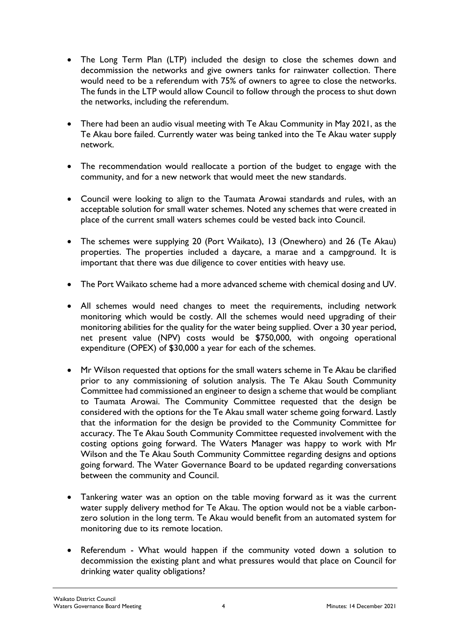- The Long Term Plan (LTP) included the design to close the schemes down and decommission the networks and give owners tanks for rainwater collection. There would need to be a referendum with 75% of owners to agree to close the networks. The funds in the LTP would allow Council to follow through the process to shut down the networks, including the referendum.
- There had been an audio visual meeting with Te Akau Community in May 2021, as the Te Akau bore failed. Currently water was being tanked into the Te Akau water supply network.
- The recommendation would reallocate a portion of the budget to engage with the community, and for a new network that would meet the new standards.
- Council were looking to align to the Taumata Arowai standards and rules, with an acceptable solution for small water schemes. Noted any schemes that were created in place of the current small waters schemes could be vested back into Council.
- The schemes were supplying 20 (Port Waikato), 13 (Onewhero) and 26 (Te Akau) properties. The properties included a daycare, a marae and a campground. It is important that there was due diligence to cover entities with heavy use.
- The Port Waikato scheme had a more advanced scheme with chemical dosing and UV.
- All schemes would need changes to meet the requirements, including network monitoring which would be costly. All the schemes would need upgrading of their monitoring abilities for the quality for the water being supplied. Over a 30 year period, net present value (NPV) costs would be \$750,000, with ongoing operational expenditure (OPEX) of \$30,000 a year for each of the schemes.
- Mr Wilson requested that options for the small waters scheme in Te Akau be clarified prior to any commissioning of solution analysis. The Te Akau South Community Committee had commissioned an engineer to design a scheme that would be compliant to Taumata Arowai. The Community Committee requested that the design be considered with the options for the Te Akau small water scheme going forward. Lastly that the information for the design be provided to the Community Committee for accuracy. The Te Akau South Community Committee requested involvement with the costing options going forward. The Waters Manager was happy to work with Mr Wilson and the Te Akau South Community Committee regarding designs and options going forward. The Water Governance Board to be updated regarding conversations between the community and Council.
- Tankering water was an option on the table moving forward as it was the current water supply delivery method for Te Akau. The option would not be a viable carbonzero solution in the long term. Te Akau would benefit from an automated system for monitoring due to its remote location.
- Referendum What would happen if the community voted down a solution to decommission the existing plant and what pressures would that place on Council for drinking water quality obligations?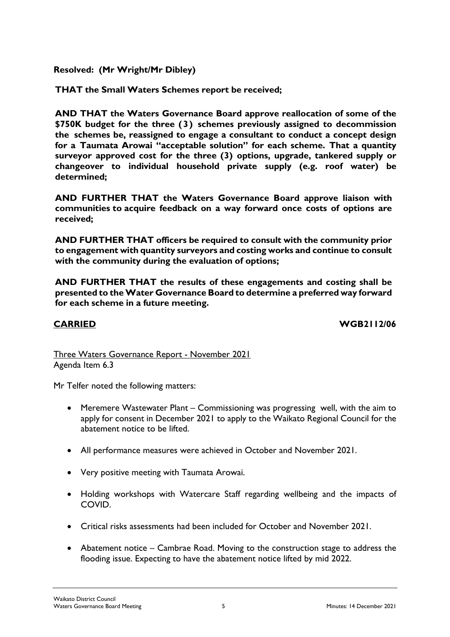# **Resolved: (Mr Wright/Mr Dibley)**

**THAT the Small Waters Schemes report be received;**

**AND THAT the Waters Governance Board approve reallocation of some of the \$750K budget for the three (3) schemes previously assigned to decommission the schemes be, reassigned to engage a consultant to conduct a concept design for a Taumata Arowai "acceptable solution" for each scheme. That a quantity surveyor approved cost for the three (3) options, upgrade, tankered supply or changeover to individual household private supply (e.g. roof water) be determined;**

**AND FURTHER THAT the Waters Governance Board approve liaison with communities to acquire feedback on a way forward once costs of options are received;**

**AND FURTHER THAT officers be required to consult with the community prior to engagement with quantity surveyors and costing works and continue to consult with the community during the evaluation of options;**

**AND FURTHER THAT the results of these engagements and costing shall be presented to theWater Governance Board to determine a preferred way forward for each scheme in a future meeting.**

**CARRIED WGB2112/06**

Three Waters Governance Report - November 2021 Agenda Item 6.3

Mr Telfer noted the following matters:

- Meremere Wastewater Plant Commissioning was progressing well, with the aim to apply for consent in December 2021 to apply to the Waikato Regional Council for the abatement notice to be lifted.
- All performance measures were achieved in October and November 2021.
- Very positive meeting with Taumata Arowai.
- Holding workshops with Watercare Staff regarding wellbeing and the impacts of COVID.
- Critical risks assessments had been included for October and November 2021.
- Abatement notice Cambrae Road. Moving to the construction stage to address the flooding issue. Expecting to have the abatement notice lifted by mid 2022.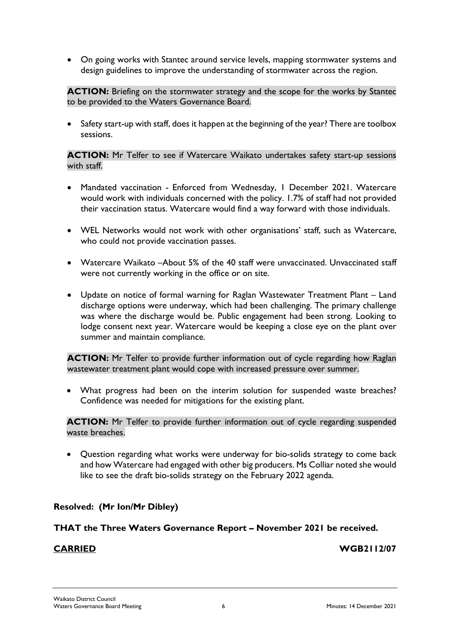• On going works with Stantec around service levels, mapping stormwater systems and design guidelines to improve the understanding of stormwater across the region.

**ACTION:** Briefing on the stormwater strategy and the scope for the works by Stantec to be provided to the Waters Governance Board.

• Safety start-up with staff, does it happen at the beginning of the year? There are toolbox sessions.

**ACTION:** Mr Telfer to see if Watercare Waikato undertakes safety start-up sessions with staff.

- Mandated vaccination Enforced from Wednesday, 1 December 2021. Watercare would work with individuals concerned with the policy. 1.7% of staff had not provided their vaccination status. Watercare would find a way forward with those individuals.
- WEL Networks would not work with other organisations' staff, such as Watercare, who could not provide vaccination passes.
- Watercare Waikato –About 5% of the 40 staff were unvaccinated. Unvaccinated staff were not currently working in the office or on site.
- Update on notice of formal warning for Raglan Wastewater Treatment Plant Land discharge options were underway, which had been challenging. The primary challenge was where the discharge would be. Public engagement had been strong. Looking to lodge consent next year. Watercare would be keeping a close eye on the plant over summer and maintain compliance.

**ACTION:** Mr Telfer to provide further information out of cycle regarding how Raglan wastewater treatment plant would cope with increased pressure over summer.

• What progress had been on the interim solution for suspended waste breaches? Confidence was needed for mitigations for the existing plant.

**ACTION:** Mr Telfer to provide further information out of cycle regarding suspended waste breaches.

• Question regarding what works were underway for bio-solids strategy to come back and how Watercare had engaged with other big producers. Ms Colliar noted she would like to see the draft bio-solids strategy on the February 2022 agenda.

# **Resolved: (Mr Ion/Mr Dibley)**

### **THAT the Three Waters Governance Report – November 2021 be received.**

**CARRIED WGB2112/07**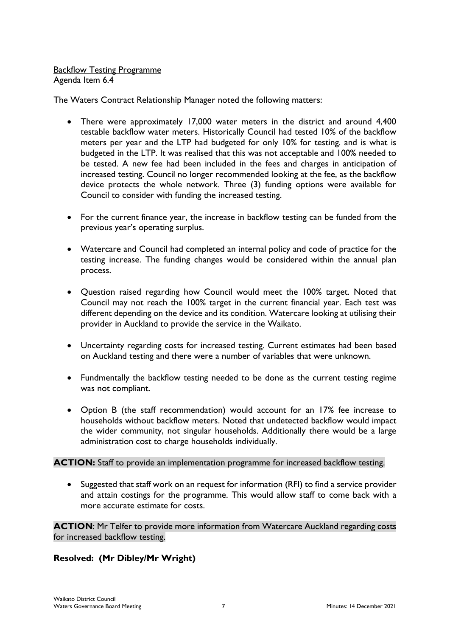### Backflow Testing Programme Agenda Item 6.4

The Waters Contract Relationship Manager noted the following matters:

- There were approximately 17,000 water meters in the district and around 4,400 testable backflow water meters. Historically Council had tested 10% of the backflow meters per year and the LTP had budgeted for only 10% for testing. and is what is budgeted in the LTP. It was realised that this was not acceptable and 100% needed to be tested. A new fee had been included in the fees and charges in anticipation of increased testing. Council no longer recommended looking at the fee, as the backflow device protects the whole network. Three (3) funding options were available for Council to consider with funding the increased testing.
- For the current finance year, the increase in backflow testing can be funded from the previous year's operating surplus.
- Watercare and Council had completed an internal policy and code of practice for the testing increase. The funding changes would be considered within the annual plan process.
- Question raised regarding how Council would meet the 100% target. Noted that Council may not reach the 100% target in the current financial year. Each test was different depending on the device and its condition. Watercare looking at utilising their provider in Auckland to provide the service in the Waikato.
- Uncertainty regarding costs for increased testing. Current estimates had been based on Auckland testing and there were a number of variables that were unknown.
- Fundmentally the backflow testing needed to be done as the current testing regime was not compliant.
- Option B (the staff recommendation) would account for an 17% fee increase to households without backflow meters. Noted that undetected backflow would impact the wider community, not singular households. Additionally there would be a large administration cost to charge households individually.

### **ACTION:** Staff to provide an implementation programme for increased backflow testing.

• Suggested that staff work on an request for information (RFI) to find a service provider and attain costings for the programme. This would allow staff to come back with a more accurate estimate for costs.

**ACTION**: Mr Telfer to provide more information from Watercare Auckland regarding costs for increased backflow testing.

# **Resolved: (Mr Dibley/Mr Wright)**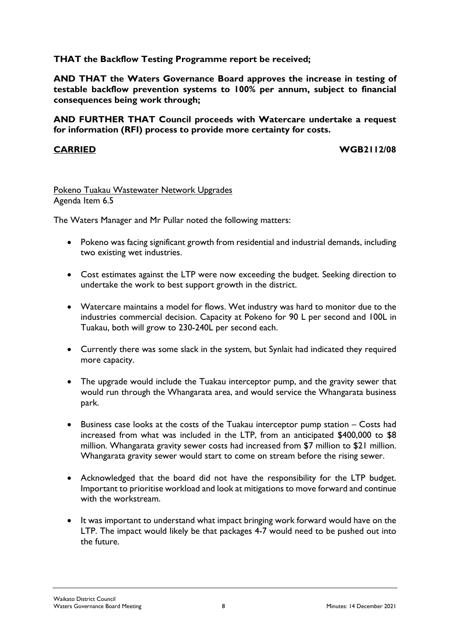# **THAT the Backflow Testing Programme report be received;**

**AND THAT the Waters Governance Board approves the increase in testing of testable backflow prevention systems to 100% per annum, subject to financial consequences being work through;**

**AND FURTHER THAT Council proceeds with Watercare undertake a request for information (RFI) process to provide more certainty for costs.** 

### **CARRIED WGB2112/08**

### Pokeno Tuakau Wastewater Network Upgrades Agenda Item 6.5

The Waters Manager and Mr Pullar noted the following matters:

- Pokeno was facing significant growth from residential and industrial demands, including two existing wet industries.
- Cost estimates against the LTP were now exceeding the budget. Seeking direction to undertake the work to best support growth in the district.
- Watercare maintains a model for flows. Wet industry was hard to monitor due to the industries commercial decision. Capacity at Pokeno for 90 L per second and 100L in Tuakau, both will grow to 230-240L per second each.
- Currently there was some slack in the system, but Synlait had indicated they required more capacity.
- The upgrade would include the Tuakau interceptor pump, and the gravity sewer that would run through the Whangarata area, and would service the Whangarata business park.
- Business case looks at the costs of the Tuakau interceptor pump station Costs had increased from what was included in the LTP, from an anticipated \$400,000 to \$8 million. Whangarata gravity sewer costs had increased from \$7 million to \$21 million. Whangarata gravity sewer would start to come on stream before the rising sewer.
- Acknowledged that the board did not have the responsibility for the LTP budget. Important to prioritise workload and look at mitigations to move forward and continue with the workstream.
- It was important to understand what impact bringing work forward would have on the LTP. The impact would likely be that packages 4-7 would need to be pushed out into the future.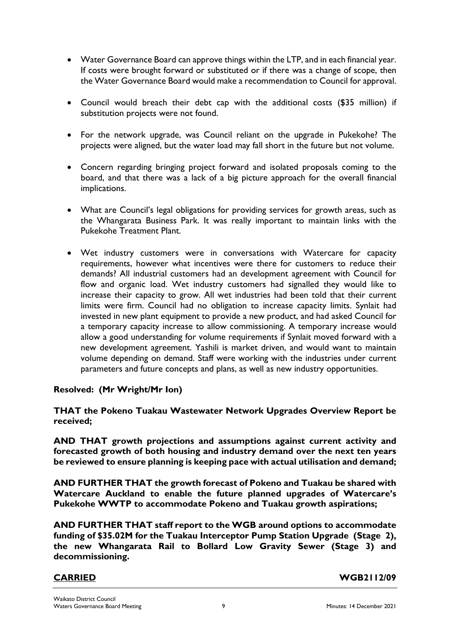- Water Governance Board can approve things within the LTP, and in each financial year. If costs were brought forward or substituted or if there was a change of scope, then the Water Governance Board would make a recommendation to Council for approval.
- Council would breach their debt cap with the additional costs (\$35 million) if substitution projects were not found.
- For the network upgrade, was Council reliant on the upgrade in Pukekohe? The projects were aligned, but the water load may fall short in the future but not volume.
- Concern regarding bringing project forward and isolated proposals coming to the board, and that there was a lack of a big picture approach for the overall financial implications.
- What are Council's legal obligations for providing services for growth areas, such as the Whangarata Business Park. It was really important to maintain links with the Pukekohe Treatment Plant.
- Wet industry customers were in conversations with Watercare for capacity requirements, however what incentives were there for customers to reduce their demands? All industrial customers had an development agreement with Council for flow and organic load. Wet industry customers had signalled they would like to increase their capacity to grow. All wet industries had been told that their current limits were firm. Council had no obligation to increase capacity limits. Synlait had invested in new plant equipment to provide a new product, and had asked Council for a temporary capacity increase to allow commissioning. A temporary increase would allow a good understanding for volume requirements if Synlait moved forward with a new development agreement. Yashili is market driven, and would want to maintain volume depending on demand. Staff were working with the industries under current parameters and future concepts and plans, as well as new industry opportunities.

### **Resolved: (Mr Wright/Mr Ion)**

### **THAT the Pokeno Tuakau Wastewater Network Upgrades Overview Report be received;**

**AND THAT growth projections and assumptions against current activity and forecasted growth of both housing and industry demand over the next ten years be reviewed to ensure planning is keeping pace with actual utilisation and demand;**

**AND FURTHER THAT the growth forecast of Pokeno and Tuakau be shared with Watercare Auckland to enable the future planned upgrades of Watercare's Pukekohe WWTP to accommodate Pokeno and Tuakau growth aspirations;**

**AND FURTHER THAT staff report to the WGB around options to accommodate funding of \$35.02M for the Tuakau Interceptor Pump Station Upgrade (Stage 2), the new Whangarata Rail to Bollard Low Gravity Sewer (Stage 3) and decommissioning.**

**CARRIED WGB2112/09**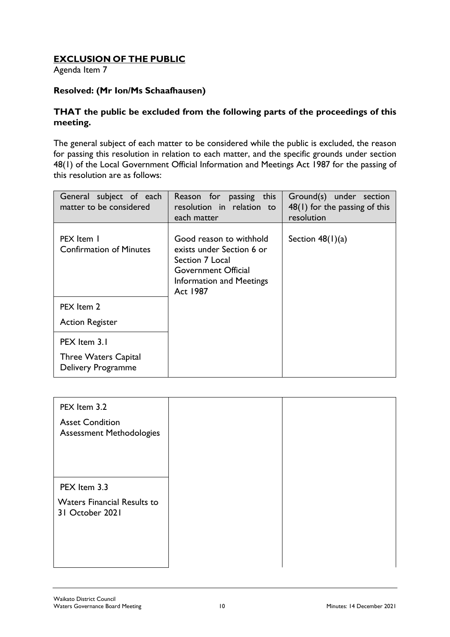# **EXCLUSION OF THE PUBLIC**

Agenda Item 7

## **Resolved: (Mr Ion/Ms Schaafhausen)**

### **THAT the public be excluded from the following parts of the proceedings of this meeting.**

The general subject of each matter to be considered while the public is excluded, the reason for passing this resolution in relation to each matter, and the specific grounds under section 48(1) of the Local Government Official Information and Meetings Act 1987 for the passing of this resolution are as follows:

| General subject of each<br>matter to be considered | Reason for passing this<br>resolution in relation to<br>each matter                                                                                  | Ground(s) under section<br>$48(1)$ for the passing of this<br>resolution |
|----------------------------------------------------|------------------------------------------------------------------------------------------------------------------------------------------------------|--------------------------------------------------------------------------|
| PEX Item I<br><b>Confirmation of Minutes</b>       | Good reason to withhold<br>exists under Section 6 or<br>Section 7 Local<br><b>Government Official</b><br><b>Information and Meetings</b><br>Act 1987 | Section $48(1)(a)$                                                       |
| PEX Item 2<br><b>Action Register</b>               |                                                                                                                                                      |                                                                          |
| PEX Item 3.1                                       |                                                                                                                                                      |                                                                          |
| <b>Three Waters Capital</b><br>Delivery Programme  |                                                                                                                                                      |                                                                          |

| PEX Item 3.2<br><b>Asset Condition</b><br><b>Assessment Methodologies</b> |  |
|---------------------------------------------------------------------------|--|
| PEX Item 3.3                                                              |  |
| <b>Waters Financial Results to</b><br>31 October 2021                     |  |
|                                                                           |  |
|                                                                           |  |
|                                                                           |  |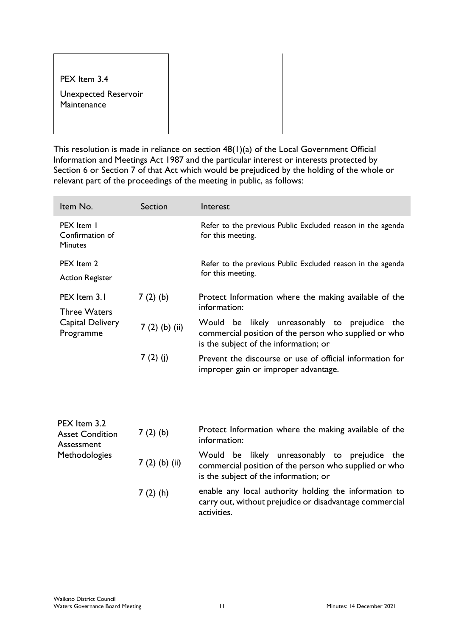| PEX Item 3.4                               |  |
|--------------------------------------------|--|
| <b>Unexpected Reservoir</b><br>Maintenance |  |
|                                            |  |

This resolution is made in reliance on section 48(1)(a) of the Local Government Official Information and Meetings Act 1987 and the particular interest or interests protected by Section 6 or Section 7 of that Act which would be prejudiced by the holding of the whole or relevant part of the proceedings of the meeting in public, as follows:

| Item No.                                                             | <b>Section</b>  | Interest                                                                                                                                        |
|----------------------------------------------------------------------|-----------------|-------------------------------------------------------------------------------------------------------------------------------------------------|
| PEX Item 1<br>Confirmation of<br><b>Minutes</b>                      |                 | Refer to the previous Public Excluded reason in the agenda<br>for this meeting.                                                                 |
| PEX Item 2<br><b>Action Register</b>                                 |                 | Refer to the previous Public Excluded reason in the agenda<br>for this meeting.                                                                 |
| PEX Item 3.1<br><b>Three Waters</b><br>Capital Delivery<br>Programme | $7(2)$ (b)      | Protect Information where the making available of the<br>information:                                                                           |
|                                                                      | $7(2)$ (b) (ii) | Would be likely unreasonably to prejudice the<br>commercial position of the person who supplied or who<br>is the subject of the information; or |
|                                                                      | 7 $(2)$ $(j)$   | Prevent the discourse or use of official information for<br>improper gain or improper advantage.                                                |

| PEX Item 3.2<br><b>Asset Condition</b><br>Assessment<br><b>Methodologies</b> | $7(2)$ (b)      | Protect Information where the making available of the<br>information:                                                                           |
|------------------------------------------------------------------------------|-----------------|-------------------------------------------------------------------------------------------------------------------------------------------------|
|                                                                              | $7(2)$ (b) (ii) | Would be likely unreasonably to prejudice the<br>commercial position of the person who supplied or who<br>is the subject of the information; or |
|                                                                              | $7(2)$ (h)      | enable any local authority holding the information to<br>carry out, without prejudice or disadvantage commercial<br>activities.                 |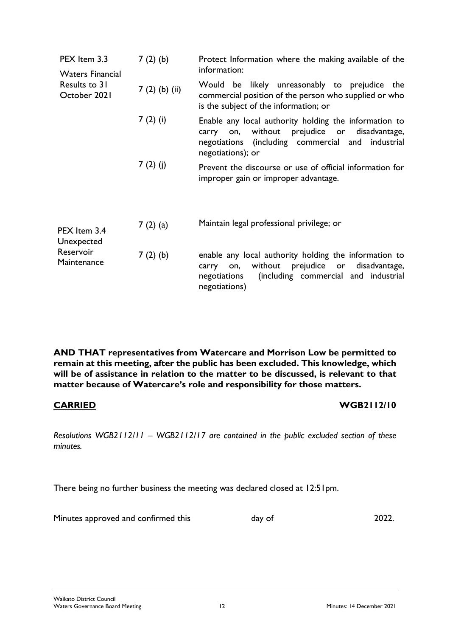| PEX Item 3.3<br><b>Waters Financial</b><br>Results to 31<br>October 2021 | $7(2)$ (b)      | Protect Information where the making available of the<br>information:                                                                                                                       |
|--------------------------------------------------------------------------|-----------------|---------------------------------------------------------------------------------------------------------------------------------------------------------------------------------------------|
|                                                                          | $7(2)$ (b) (ii) | Would be likely unreasonably to prejudice the<br>commercial position of the person who supplied or who<br>is the subject of the information; or                                             |
|                                                                          | 7(2)(i)         | Enable any local authority holding the information to<br>prejudice or disadvantage,<br>without<br>carry<br>on,<br>(including commercial and industrial<br>negotiations<br>negotiations); or |
|                                                                          | $7(2)$ (j)      | Prevent the discourse or use of official information for<br>improper gain or improper advantage.                                                                                            |
| PEX Item 3.4<br>Unexpected                                               | 7(2)(a)         | Maintain legal professional privilege; or                                                                                                                                                   |
| Reservoir<br>Maintenance                                                 | $7(2)$ (b)      | enable any local authority holding the information to<br>without prejudice or disadvantage,<br>carry<br>on,<br>(including commercial and industrial<br>negotiations<br>negotiations)        |

**AND THAT representatives from Watercare and Morrison Low be permitted to remain at this meeting, after the public has been excluded. This knowledge, which will be of assistance in relation to the matter to be discussed, is relevant to that matter because of Watercare's role and responsibility for those matters.**

### **CARRIED WGB2112/10**

*Resolutions WGB2112/11 – WGB2112/17 are contained in the public excluded section of these minutes.*

There being no further business the meeting was declared closed at 12:51pm.

Minutes approved and confirmed this day of day of 2022.